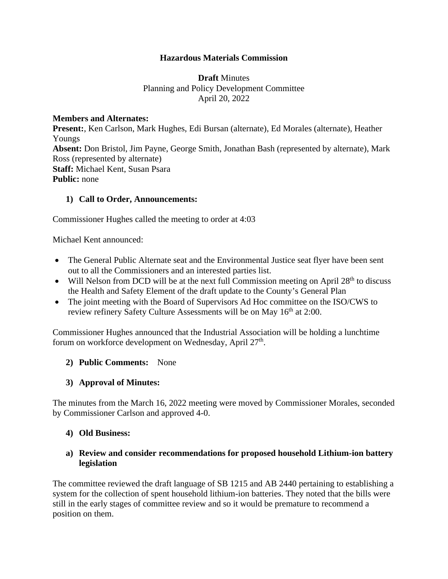#### **Hazardous Materials Commission**

**Draft** Minutes Planning and Policy Development Committee April 20, 2022

#### **Members and Alternates:**

**Present:**, Ken Carlson, Mark Hughes, Edi Bursan (alternate), Ed Morales (alternate), Heather Youngs **Absent:** Don Bristol, Jim Payne, George Smith, Jonathan Bash (represented by alternate), Mark Ross (represented by alternate) **Staff:** Michael Kent, Susan Psara **Public:** none

#### **1) Call to Order, Announcements:**

Commissioner Hughes called the meeting to order at 4:03

Michael Kent announced:

- The General Public Alternate seat and the Environmental Justice seat flyer have been sent out to all the Commissioners and an interested parties list.
- Will Nelson from DCD will be at the next full Commission meeting on April  $28<sup>th</sup>$  to discuss the Health and Safety Element of the draft update to the County's General Plan
- The joint meeting with the Board of Supervisors Ad Hoc committee on the ISO/CWS to review refinery Safety Culture Assessments will be on May 16<sup>th</sup> at 2:00.

Commissioner Hughes announced that the Industrial Association will be holding a lunchtime forum on workforce development on Wednesday, April  $27<sup>th</sup>$ .

#### **2) Public Comments:** None

#### **3) Approval of Minutes:**

The minutes from the March 16, 2022 meeting were moved by Commissioner Morales, seconded by Commissioner Carlson and approved 4-0.

#### **4) Old Business:**

#### **a) Review and consider recommendations for proposed household Lithium-ion battery legislation**

The committee reviewed the draft language of SB 1215 and AB 2440 pertaining to establishing a system for the collection of spent household lithium-ion batteries. They noted that the bills were still in the early stages of committee review and so it would be premature to recommend a position on them.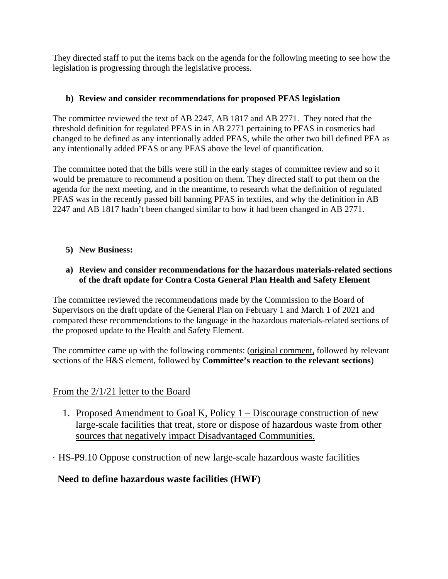They directed staff to put the items back on the agenda for the following meeting to see how the legislation is progressing through the legislative process.

#### **b) Review and consider recommendations for proposed PFAS legislation**

The committee reviewed the text of AB 2247, AB 1817 and AB 2771. They noted that the threshold definition for regulated PFAS in in AB 2771 pertaining to PFAS in cosmetics had changed to be defined as any intentionally added PFAS, while the other two bill defined PFA as any intentionally added PFAS or any PFAS above the level of quantification.

The committee noted that the bills were still in the early stages of committee review and so it would be premature to recommend a position on them. They directed staff to put them on the agenda for the next meeting, and in the meantime, to research what the definition of regulated PFAS was in the recently passed bill banning PFAS in textiles, and why the definition in AB 2247 and AB 1817 hadn't been changed similar to how it had been changed in AB 2771.

#### **5) New Business:**

#### **a) Review and consider recommendations for the hazardous materials-related sections of the draft update for Contra Costa General Plan Health and Safety Element**

The committee reviewed the recommendations made by the Commission to the Board of Supervisors on the draft update of the General Plan on February 1 and March 1 of 2021 and compared these recommendations to the language in the hazardous materials-related sections of the proposed update to the Health and Safety Element.

The committee came up with the following comments: (original comment, followed by relevant sections of the H&S element, followed by **Committee's reaction to the relevant sections**)

#### From the 2/1/21 letter to the Board

- 1. Proposed Amendment to Goal K, Policy 1 Discourage construction of new large-scale facilities that treat, store or dispose of hazardous waste from other sources that negatively impact Disadvantaged Communities.
- · HS-P9.10 Oppose construction of new large-scale hazardous waste facilities

### **Need to define hazardous waste facilities (HWF)**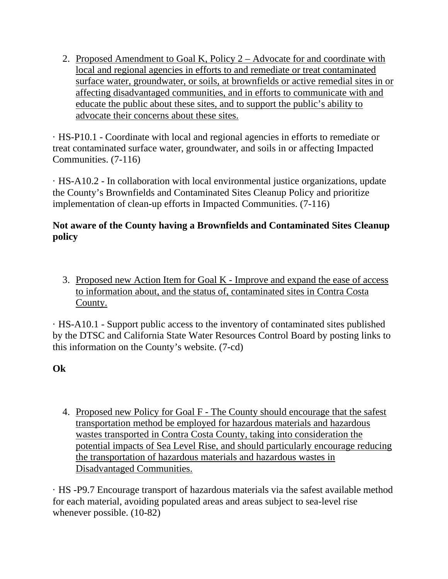2. Proposed Amendment to Goal K, Policy 2 – Advocate for and coordinate with local and regional agencies in efforts to and remediate or treat contaminated surface water, groundwater, or soils, at brownfields or active remedial sites in or affecting disadvantaged communities, and in efforts to communicate with and educate the public about these sites, and to support the public's ability to advocate their concerns about these sites.

· HS-P10.1 - Coordinate with local and regional agencies in efforts to remediate or treat contaminated surface water, groundwater, and soils in or affecting Impacted Communities. (7-116)

· HS-A10.2 - In collaboration with local environmental justice organizations, update the County's Brownfields and Contaminated Sites Cleanup Policy and prioritize implementation of clean-up efforts in Impacted Communities. (7-116)

# **Not aware of the County having a Brownfields and Contaminated Sites Cleanup policy**

3. Proposed new Action Item for Goal K - Improve and expand the ease of access to information about, and the status of, contaminated sites in Contra Costa County.

· HS-A10.1 - Support public access to the inventory of contaminated sites published by the DTSC and California State Water Resources Control Board by posting links to this information on the County's website. (7-cd)

**Ok** 

4. Proposed new Policy for Goal F - The County should encourage that the safest transportation method be employed for hazardous materials and hazardous wastes transported in Contra Costa County, taking into consideration the potential impacts of Sea Level Rise, and should particularly encourage reducing the transportation of hazardous materials and hazardous wastes in Disadvantaged Communities.

· HS -P9.7 Encourage transport of hazardous materials via the safest available method for each material, avoiding populated areas and areas subject to sea-level rise whenever possible. (10-82)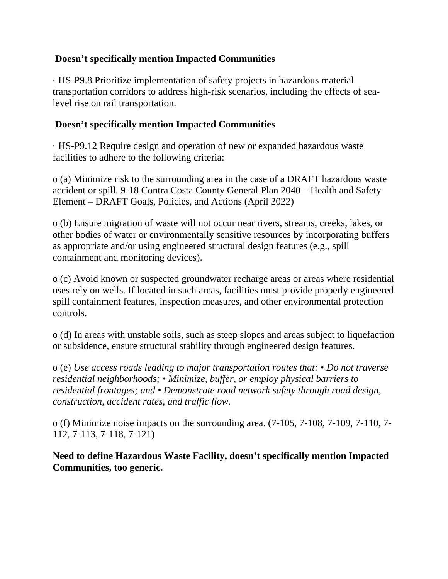## **Doesn't specifically mention Impacted Communities**

· HS-P9.8 Prioritize implementation of safety projects in hazardous material transportation corridors to address high-risk scenarios, including the effects of sealevel rise on rail transportation.

### **Doesn't specifically mention Impacted Communities**

· HS-P9.12 Require design and operation of new or expanded hazardous waste facilities to adhere to the following criteria:

o (a) Minimize risk to the surrounding area in the case of a DRAFT hazardous waste accident or spill. 9-18 Contra Costa County General Plan 2040 – Health and Safety Element – DRAFT Goals, Policies, and Actions (April 2022)

o (b) Ensure migration of waste will not occur near rivers, streams, creeks, lakes, or other bodies of water or environmentally sensitive resources by incorporating buffers as appropriate and/or using engineered structural design features (e.g., spill containment and monitoring devices).

o (c) Avoid known or suspected groundwater recharge areas or areas where residential uses rely on wells. If located in such areas, facilities must provide properly engineered spill containment features, inspection measures, and other environmental protection controls.

o (d) In areas with unstable soils, such as steep slopes and areas subject to liquefaction or subsidence, ensure structural stability through engineered design features.

o (e) *Use access roads leading to major transportation routes that: • Do not traverse residential neighborhoods; • Minimize, buffer, or employ physical barriers to residential frontages; and • Demonstrate road network safety through road design, construction, accident rates, and traffic flow.*

o (f) Minimize noise impacts on the surrounding area. (7-105, 7-108, 7-109, 7-110, 7- 112, 7-113, 7-118, 7-121)

**Need to define Hazardous Waste Facility, doesn't specifically mention Impacted Communities, too generic.**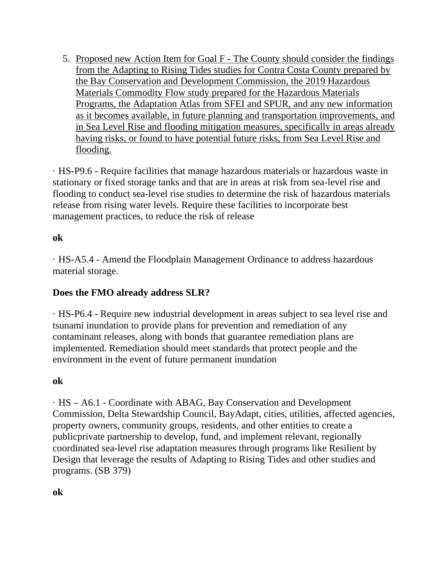5. Proposed new Action Item for Goal F - The County should consider the findings from the Adapting to Rising Tides studies for Contra Costa County prepared by the Bay Conservation and Development Commission, the 2019 Hazardous Materials Commodity Flow study prepared for the Hazardous Materials Programs, the Adaptation Atlas from SFEI and SPUR, and any new information as it becomes available, in future planning and transportation improvements, and in Sea Level Rise and flooding mitigation measures, specifically in areas already having risks, or found to have potential future risks, from Sea Level Rise and flooding.

· HS-P9.6 - Require facilities that manage hazardous materials or hazardous waste in stationary or fixed storage tanks and that are in areas at risk from sea-level rise and flooding to conduct sea-level rise studies to determine the risk of hazardous materials release from rising water levels. Require these facilities to incorporate best management practices, to reduce the risk of release

### **ok**

· HS-A5.4 - Amend the Floodplain Management Ordinance to address hazardous material storage.

### **Does the FMO already address SLR?**

· HS-P6.4 - Require new industrial development in areas subject to sea level rise and tsunami inundation to provide plans for prevention and remediation of any contaminant releases, along with bonds that guarantee remediation plans are implemented. Remediation should meet standards that protect people and the environment in the event of future permanent inundation

### **ok**

· HS – A6.1 - Coordinate with ABAG, Bay Conservation and Development Commission, Delta Stewardship Council, BayAdapt, cities, utilities, affected agencies, property owners, community groups, residents, and other entities to create a publicprivate partnership to develop, fund, and implement relevant, regionally coordinated sea-level rise adaptation measures through programs like Resilient by Design that leverage the results of Adapting to Rising Tides and other studies and programs. (SB 379)

**ok**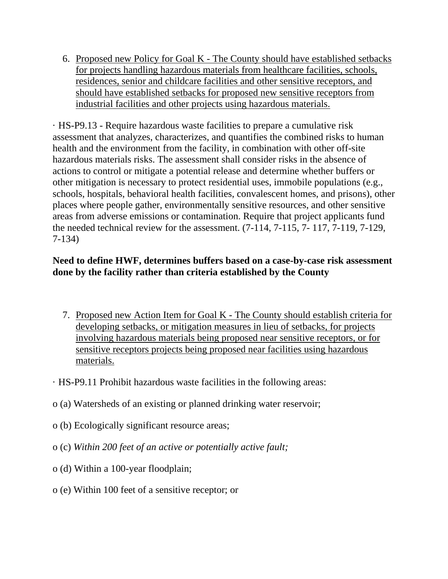6. Proposed new Policy for Goal K - The County should have established setbacks for projects handling hazardous materials from healthcare facilities, schools, residences, senior and childcare facilities and other sensitive receptors, and should have established setbacks for proposed new sensitive receptors from industrial facilities and other projects using hazardous materials.

· HS-P9.13 - Require hazardous waste facilities to prepare a cumulative risk assessment that analyzes, characterizes, and quantifies the combined risks to human health and the environment from the facility, in combination with other off-site hazardous materials risks. The assessment shall consider risks in the absence of actions to control or mitigate a potential release and determine whether buffers or other mitigation is necessary to protect residential uses, immobile populations (e.g., schools, hospitals, behavioral health facilities, convalescent homes, and prisons), other places where people gather, environmentally sensitive resources, and other sensitive areas from adverse emissions or contamination. Require that project applicants fund the needed technical review for the assessment. (7-114, 7-115, 7- 117, 7-119, 7-129, 7-134)

## **Need to define HWF, determines buffers based on a case-by-case risk assessment done by the facility rather than criteria established by the County**

- 7. Proposed new Action Item for Goal K The County should establish criteria for developing setbacks, or mitigation measures in lieu of setbacks, for projects involving hazardous materials being proposed near sensitive receptors, or for sensitive receptors projects being proposed near facilities using hazardous materials.
- · HS-P9.11 Prohibit hazardous waste facilities in the following areas:
- o (a) Watersheds of an existing or planned drinking water reservoir;
- o (b) Ecologically significant resource areas;
- o (c) *Within 200 feet of an active or potentially active fault;*
- o (d) Within a 100-year floodplain;
- o (e) Within 100 feet of a sensitive receptor; or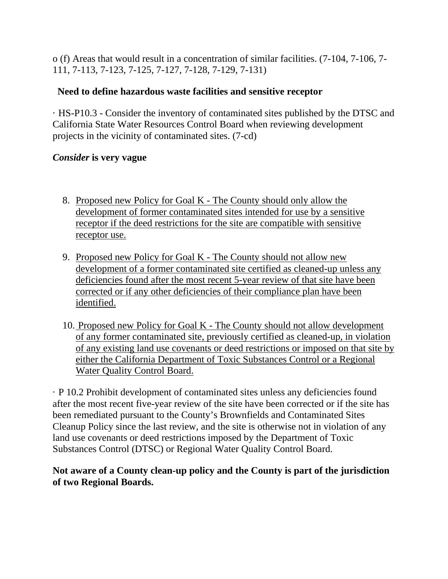o (f) Areas that would result in a concentration of similar facilities. (7-104, 7-106, 7- 111, 7-113, 7-123, 7-125, 7-127, 7-128, 7-129, 7-131)

### **Need to define hazardous waste facilities and sensitive receptor**

· HS-P10.3 - Consider the inventory of contaminated sites published by the DTSC and California State Water Resources Control Board when reviewing development projects in the vicinity of contaminated sites. (7-cd)

## *Consider* **is very vague**

- 8. Proposed new Policy for Goal K The County should only allow the development of former contaminated sites intended for use by a sensitive receptor if the deed restrictions for the site are compatible with sensitive receptor use.
- 9. Proposed new Policy for Goal K The County should not allow new development of a former contaminated site certified as cleaned-up unless any deficiencies found after the most recent 5-year review of that site have been corrected or if any other deficiencies of their compliance plan have been identified.
- 10. Proposed new Policy for Goal K The County should not allow development of any former contaminated site, previously certified as cleaned-up, in violation of any existing land use covenants or deed restrictions or imposed on that site by either the California Department of Toxic Substances Control or a Regional Water Quality Control Board.

· P 10.2 Prohibit development of contaminated sites unless any deficiencies found after the most recent five-year review of the site have been corrected or if the site has been remediated pursuant to the County's Brownfields and Contaminated Sites Cleanup Policy since the last review, and the site is otherwise not in violation of any land use covenants or deed restrictions imposed by the Department of Toxic Substances Control (DTSC) or Regional Water Quality Control Board.

## **Not aware of a County clean-up policy and the County is part of the jurisdiction of two Regional Boards.**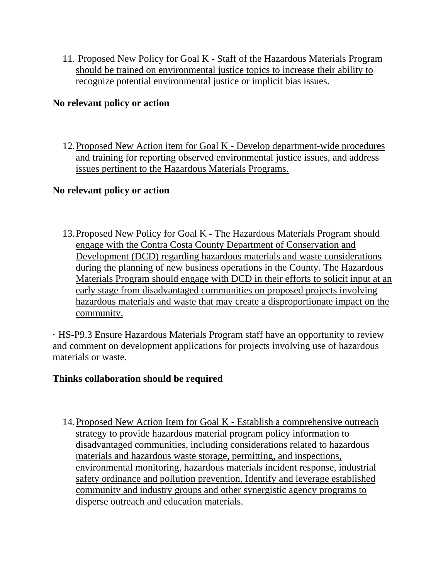11. Proposed New Policy for Goal K - Staff of the Hazardous Materials Program should be trained on environmental justice topics to increase their ability to recognize potential environmental justice or implicit bias issues.

#### **No relevant policy or action**

12.Proposed New Action item for Goal K - Develop department-wide procedures and training for reporting observed environmental justice issues, and address issues pertinent to the Hazardous Materials Programs.

#### **No relevant policy or action**

13.Proposed New Policy for Goal K - The Hazardous Materials Program should engage with the Contra Costa County Department of Conservation and Development (DCD) regarding hazardous materials and waste considerations during the planning of new business operations in the County. The Hazardous Materials Program should engage with DCD in their efforts to solicit input at an early stage from disadvantaged communities on proposed projects involving hazardous materials and waste that may create a disproportionate impact on the community.

· HS-P9.3 Ensure Hazardous Materials Program staff have an opportunity to review and comment on development applications for projects involving use of hazardous materials or waste.

### **Thinks collaboration should be required**

14.Proposed New Action Item for Goal K - Establish a comprehensive outreach strategy to provide hazardous material program policy information to disadvantaged communities, including considerations related to hazardous materials and hazardous waste storage, permitting, and inspections, environmental monitoring, hazardous materials incident response, industrial safety ordinance and pollution prevention. Identify and leverage established community and industry groups and other synergistic agency programs to disperse outreach and education materials.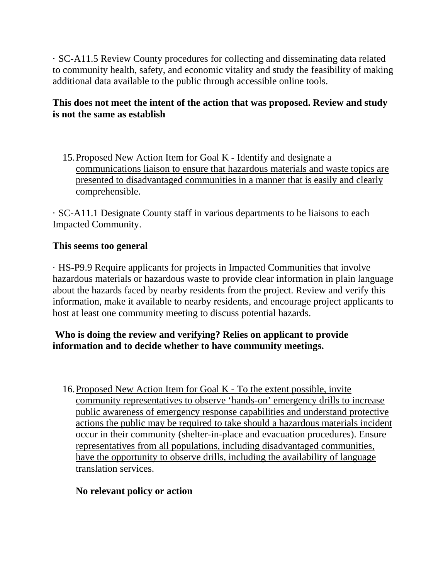· SC-A11.5 Review County procedures for collecting and disseminating data related to community health, safety, and economic vitality and study the feasibility of making additional data available to the public through accessible online tools.

## **This does not meet the intent of the action that was proposed. Review and study is not the same as establish**

15.Proposed New Action Item for Goal K - Identify and designate a communications liaison to ensure that hazardous materials and waste topics are presented to disadvantaged communities in a manner that is easily and clearly comprehensible.

· SC-A11.1 Designate County staff in various departments to be liaisons to each Impacted Community.

## **This seems too general**

· HS-P9.9 Require applicants for projects in Impacted Communities that involve hazardous materials or hazardous waste to provide clear information in plain language about the hazards faced by nearby residents from the project. Review and verify this information, make it available to nearby residents, and encourage project applicants to host at least one community meeting to discuss potential hazards.

# **Who is doing the review and verifying? Relies on applicant to provide information and to decide whether to have community meetings.**

16.Proposed New Action Item for Goal K - To the extent possible, invite community representatives to observe 'hands-on' emergency drills to increase public awareness of emergency response capabilities and understand protective actions the public may be required to take should a hazardous materials incident occur in their community (shelter-in-place and evacuation procedures). Ensure representatives from all populations, including disadvantaged communities, have the opportunity to observe drills, including the availability of language translation services.

### **No relevant policy or action**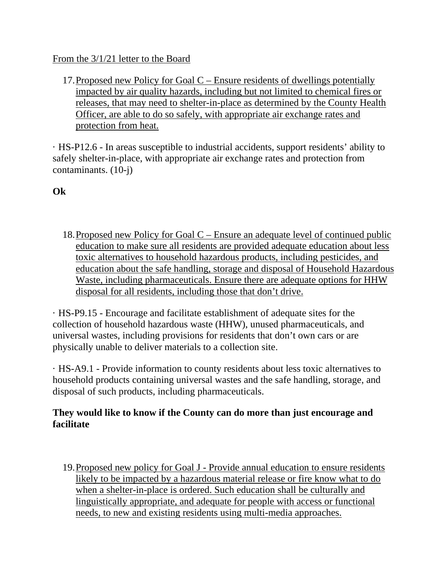### From the  $3/1/21$  letter to the Board

17.Proposed new Policy for Goal C – Ensure residents of dwellings potentially impacted by air quality hazards, including but not limited to chemical fires or releases, that may need to shelter-in-place as determined by the County Health Officer, are able to do so safely, with appropriate air exchange rates and protection from heat.

· HS-P12.6 - In areas susceptible to industrial accidents, support residents' ability to safely shelter-in-place, with appropriate air exchange rates and protection from contaminants. (10-j)

**Ok** 

18.Proposed new Policy for Goal C – Ensure an adequate level of continued public education to make sure all residents are provided adequate education about less toxic alternatives to household hazardous products, including pesticides, and education about the safe handling, storage and disposal of Household Hazardous Waste, including pharmaceuticals. Ensure there are adequate options for HHW disposal for all residents, including those that don't drive.

· HS-P9.15 - Encourage and facilitate establishment of adequate sites for the collection of household hazardous waste (HHW), unused pharmaceuticals, and universal wastes, including provisions for residents that don't own cars or are physically unable to deliver materials to a collection site.

· HS-A9.1 - Provide information to county residents about less toxic alternatives to household products containing universal wastes and the safe handling, storage, and disposal of such products, including pharmaceuticals.

### **They would like to know if the County can do more than just encourage and facilitate**

19.Proposed new policy for Goal J - Provide annual education to ensure residents likely to be impacted by a hazardous material release or fire know what to do when a shelter-in-place is ordered. Such education shall be culturally and linguistically appropriate, and adequate for people with access or functional needs, to new and existing residents using multi-media approaches.